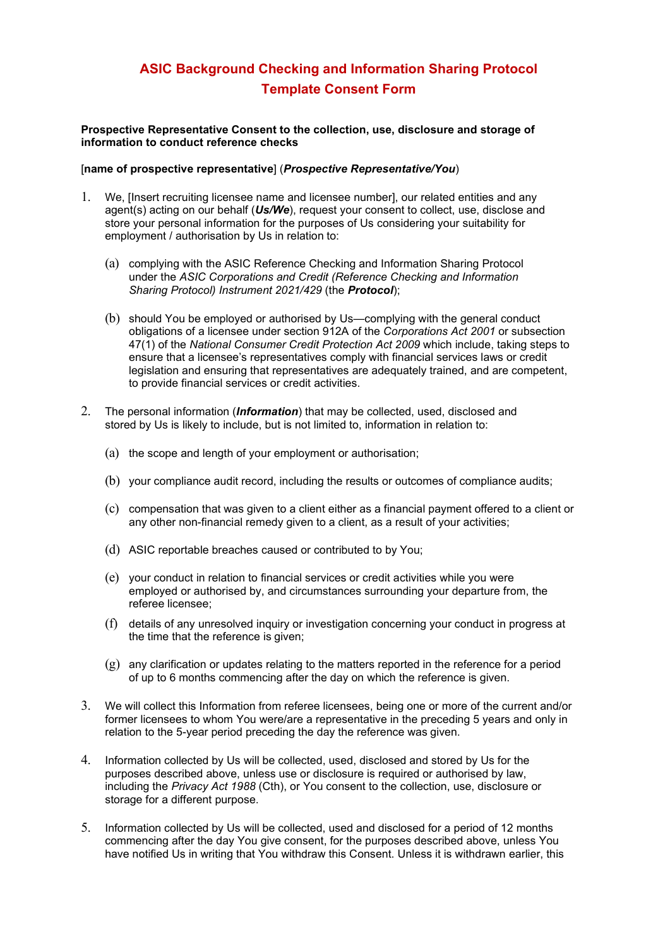## **ASIC Background Checking and Information Sharing Protocol Template Consent Form**

**Prospective Representative Consent to the collection, use, disclosure and storage of information to conduct reference checks**

## [**name of prospective representative**] (*Prospective Representative/You*)

- 1. We, [Insert recruiting licensee name and licensee number], our related entities and any agent(s) acting on our behalf (*Us/We*), request your consent to collect, use, disclose and store your personal information for the purposes of Us considering your suitability for employment / authorisation by Us in relation to:
	- (a) complying with the ASIC Reference Checking and Information Sharing Protocol under the *ASIC Corporations and Credit (Reference Checking and Information Sharing Protocol) Instrument 2021/429* (the *Protocol*);
	- (b) should You be employed or authorised by Us—complying with the general conduct obligations of a licensee under section 912A of the *Corporations Act 2001* or subsection 47(1) of the *National Consumer Credit Protection Act 2009* which include, taking steps to ensure that a licensee's representatives comply with financial services laws or credit legislation and ensuring that representatives are adequately trained, and are competent, to provide financial services or credit activities.
- 2. The personal information (*Information*) that may be collected, used, disclosed and stored by Us is likely to include, but is not limited to, information in relation to:
	- (a) the scope and length of your employment or authorisation;
	- (b) your compliance audit record, including the results or outcomes of compliance audits;
	- (c) compensation that was given to a client either as a financial payment offered to a client or any other non-financial remedy given to a client, as a result of your activities;
	- (d) ASIC reportable breaches caused or contributed to by You;
	- (e) your conduct in relation to financial services or credit activities while you were employed or authorised by, and circumstances surrounding your departure from, the referee licensee;
	- (f) details of any unresolved inquiry or investigation concerning your conduct in progress at the time that the reference is given;
	- $(g)$  any clarification or updates relating to the matters reported in the reference for a period of up to 6 months commencing after the day on which the reference is given.
- 3. We will collect this Information from referee licensees, being one or more of the current and/or former licensees to whom You were/are a representative in the preceding 5 years and only in relation to the 5-year period preceding the day the reference was given.
- 4. Information collected by Us will be collected, used, disclosed and stored by Us for the purposes described above, unless use or disclosure is required or authorised by law, including the *Privacy Act 1988* (Cth), or You consent to the collection, use, disclosure or storage for a different purpose.
- 5. Information collected by Us will be collected, used and disclosed for a period of 12 months commencing after the day You give consent, for the purposes described above, unless You have notified Us in writing that You withdraw this Consent. Unless it is withdrawn earlier, this